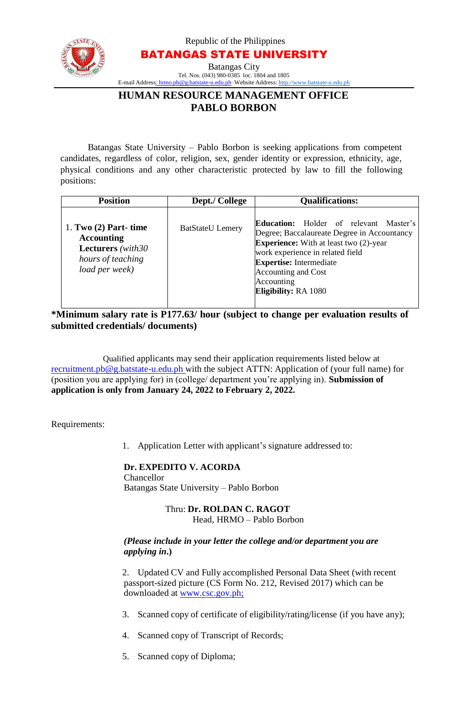

Republic of the Philippines

BATANGAS STATE UNIVERSITY

Batangas City Tel. Nos. (043) 980-0385 loc. 1804 and 1805 E-mail Address: [hrmo.pb@g.batstate-u.edu.ph∙](mailto:hrmo.pb@g.batstate-u.edu.ph) Website Address: [http://www.batstate-u.edu.ph](http://www.batstate-u.edu.ph/)

## **HUMAN RESOURCE MANAGEMENT OFFICE PABLO BORBON**

Batangas State University – Pablo Borbon is seeking applications from competent candidates, regardless of color, religion, sex, gender identity or expression, ethnicity, age, physical conditions and any other characteristic protected by law to fill the following positions:

| <b>Position</b>                                                                                                  | Dept./ College          | <b>Qualifications:</b>                                                                                                                                                                                                                                                                  |
|------------------------------------------------------------------------------------------------------------------|-------------------------|-----------------------------------------------------------------------------------------------------------------------------------------------------------------------------------------------------------------------------------------------------------------------------------------|
| 1. Two $(2)$ Part- time<br><b>Accounting</b><br><b>Lecturers</b> (with 30<br>hours of teaching<br>load per week) | <b>BatStateU</b> Lemery | <b>Education:</b> Holder of relevant Master's<br>Degree; Baccalaureate Degree in Accountancy<br><b>Experience:</b> With at least two (2)-year<br>work experience in related field<br><b>Expertise:</b> Intermediate<br>Accounting and Cost<br>Accounting<br><b>Eligibility: RA 1080</b> |

**\*Minimum salary rate is P177.63/ hour (subject to change per evaluation results of submitted credentials/ documents)**

Qualified applicants may send their application requirements listed below at [recruitment.pb@g.batstate-u.edu.ph w](mailto:recruitment.pb@g.batstate-u.edu.ph)ith the subject ATTN: Application of (your full name) for (position you are applying for) in (college/ department you're applying in). **Submission of application is only from January 24, 2022 to February 2, 2022.**

Requirements:

1. Application Letter with applicant's signature addressed to:

## **Dr. EXPEDITO V. ACORDA**

Chancellor Batangas State University – Pablo Borbon

## Thru: **Dr. ROLDAN C. RAGOT** Head, HRMO – Pablo Borbon

## *(Please include in your letter the college and/or department you are applying in***.)**

2. Updated CV and Fully accomplished Personal Data Sheet (with recent passport-sized picture (CS Form No. 212, Revised 2017) which can be downloaded at www.csc.gov.ph;

- 3. Scanned copy of certificate of eligibility/rating/license (if you have any);
- 4. Scanned copy of Transcript of Records;
- 5. Scanned copy of Diploma;